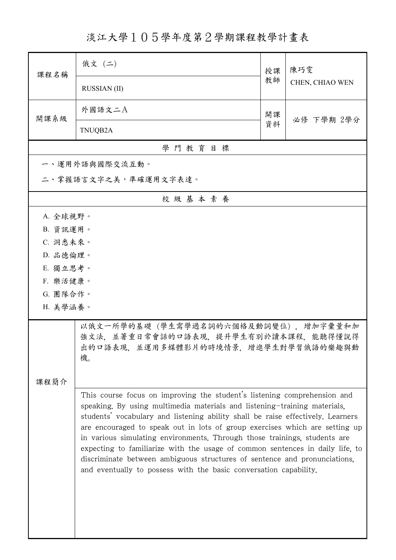淡江大學105學年度第2學期課程教學計畫表

| 課程名稱                                                                                                                       | 俄文 (二)                                                                                                                                                                                                                                                                                                                                                                                                                                                                                                                                                                                                                                  | 授課 | 陳巧雯<br>CHEN, CHIAO WEN |  |  |
|----------------------------------------------------------------------------------------------------------------------------|-----------------------------------------------------------------------------------------------------------------------------------------------------------------------------------------------------------------------------------------------------------------------------------------------------------------------------------------------------------------------------------------------------------------------------------------------------------------------------------------------------------------------------------------------------------------------------------------------------------------------------------------|----|------------------------|--|--|
|                                                                                                                            | <b>RUSSIAN (II)</b>                                                                                                                                                                                                                                                                                                                                                                                                                                                                                                                                                                                                                     | 教師 |                        |  |  |
| 開課系級                                                                                                                       | 外國語文二A                                                                                                                                                                                                                                                                                                                                                                                                                                                                                                                                                                                                                                  | 開課 | 必修 下學期 2學分             |  |  |
|                                                                                                                            | TNUQB2A                                                                                                                                                                                                                                                                                                                                                                                                                                                                                                                                                                                                                                 | 資料 |                        |  |  |
|                                                                                                                            | 學門教育目標                                                                                                                                                                                                                                                                                                                                                                                                                                                                                                                                                                                                                                  |    |                        |  |  |
|                                                                                                                            | 一、運用外語與國際交流互動。                                                                                                                                                                                                                                                                                                                                                                                                                                                                                                                                                                                                                          |    |                        |  |  |
|                                                                                                                            | 二、掌握語言文字之美,準確運用文字表達。                                                                                                                                                                                                                                                                                                                                                                                                                                                                                                                                                                                                                    |    |                        |  |  |
|                                                                                                                            | 校級基本素養                                                                                                                                                                                                                                                                                                                                                                                                                                                                                                                                                                                                                                  |    |                        |  |  |
| A. 全球視野。                                                                                                                   |                                                                                                                                                                                                                                                                                                                                                                                                                                                                                                                                                                                                                                         |    |                        |  |  |
| B. 資訊運用。                                                                                                                   |                                                                                                                                                                                                                                                                                                                                                                                                                                                                                                                                                                                                                                         |    |                        |  |  |
| C. 洞悉未來。                                                                                                                   |                                                                                                                                                                                                                                                                                                                                                                                                                                                                                                                                                                                                                                         |    |                        |  |  |
| D. 品德倫理。                                                                                                                   |                                                                                                                                                                                                                                                                                                                                                                                                                                                                                                                                                                                                                                         |    |                        |  |  |
| E. 獨立思考。                                                                                                                   |                                                                                                                                                                                                                                                                                                                                                                                                                                                                                                                                                                                                                                         |    |                        |  |  |
| F. 樂活健康。                                                                                                                   |                                                                                                                                                                                                                                                                                                                                                                                                                                                                                                                                                                                                                                         |    |                        |  |  |
| G. 團隊合作。                                                                                                                   |                                                                                                                                                                                                                                                                                                                                                                                                                                                                                                                                                                                                                                         |    |                        |  |  |
| H. 美學涵養。                                                                                                                   |                                                                                                                                                                                                                                                                                                                                                                                                                                                                                                                                                                                                                                         |    |                        |  |  |
| 以俄文一所學的基礎 (學生需學過名詞的六個格及動詞變位) , 增加字彙量和加<br>強文法,並著重日常會話的口語表現,提升學生有別於讀本課程,能聽得懂說得<br>出的口語表現,並運用多媒體影片的時境情景,增進學生對學習俄語的樂趣與動<br>機。 |                                                                                                                                                                                                                                                                                                                                                                                                                                                                                                                                                                                                                                         |    |                        |  |  |
| 課程簡介                                                                                                                       |                                                                                                                                                                                                                                                                                                                                                                                                                                                                                                                                                                                                                                         |    |                        |  |  |
|                                                                                                                            | This course focus on improving the student's listening comprehension and<br>speaking. By using multimedia materials and listening-training materials,<br>students' vocabulary and listening ability shall be raise effectively. Learners<br>are encouraged to speak out in lots of group exercises which are setting up<br>in various simulating environments. Through those trainings, students are<br>expecting to familiarize with the usage of common sentences in daily life, to<br>discriminate between ambiguous structures of sentence and pronunciations,<br>and eventually to possess with the basic conversation capability. |    |                        |  |  |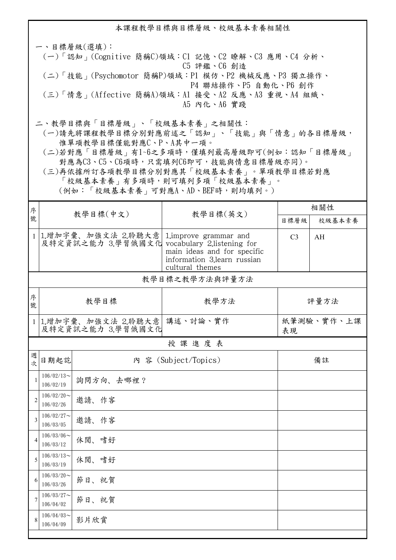本課程教學目標與目標層級、校級基本素養相關性 一、目標層級(選填): (一)「認知」(Cognitive 簡稱C)領域:C1 記憶、C2 瞭解、C3 應用、C4 分析、 C5 評鑑、C6 創造 (二)「技能」(Psychomotor 簡稱P)領域:P1 模仿、P2 機械反應、P3 獨立操作、 P4 聯結操作、P5 自動化、P6 創作 (三)「情意」(Affective 簡稱A)領域:A1 接受、A2 反應、A3 重視、A4 組織、 A5 內化、A6 實踐 二、教學目標與「目標層級」、「校級基本素養」之相關性: (一)請先將課程教學目標分別對應前述之「認知」、「技能」與「情意」的各目標層級, 惟單項教學目標僅能對應C、P、A其中一項。

 (二)若對應「目標層級」有1~6之多項時,僅填列最高層級即可(例如:認知「目標層級」 對應為C3、C5、C6項時,只需填列C6即可,技能與情意目標層級亦同)。

 (三)再依據所訂各項教學目標分別對應其「校級基本素養」。單項教學目標若對應 「校級基本素養」有多項時,則可填列多項「校級基本素養」。 (例如:「校級基本素養」可對應A、AD、BEF時,則均填列。)

| 序              | 教學目標(中文)                                                             |           | 教學目標(英文)                                                                                                | 相關性              |        |  |  |  |  |
|----------------|----------------------------------------------------------------------|-----------|---------------------------------------------------------------------------------------------------------|------------------|--------|--|--|--|--|
| 號              |                                                                      |           |                                                                                                         | 目標層級             | 校級基本素養 |  |  |  |  |
|                | 1 1.增加字彙、加強文法 2.聆聽大意<br>及特定資訊之能力 3.學習俄國文化 vocabulary 2.listening for |           | 1. improve grammar and<br>main ideas and for specific<br>information 3.learn russian<br>cultural themes | C <sub>3</sub>   | AH     |  |  |  |  |
|                | 教學目標之教學方法與評量方法                                                       |           |                                                                                                         |                  |        |  |  |  |  |
| 序<br>號         | 教學目標                                                                 |           | 教學方法                                                                                                    | 評量方法             |        |  |  |  |  |
|                | 1 1.增加字彙、加強文法 2.聆聽大意<br>及特定資訊之能力 3.學習俄國文化                            |           | 講述、討論、實作                                                                                                | 紙筆測驗、實作、上課<br>表現 |        |  |  |  |  |
|                |                                                                      |           | 授課進度表                                                                                                   |                  |        |  |  |  |  |
| 週<br>一大        | 日期起訖                                                                 |           | 內 容 (Subject/Topics)                                                                                    |                  | 備註     |  |  |  |  |
| $\mathbf{1}$   | $106/02/13$ ~<br>106/02/19                                           | 詢問方向、去哪裡? |                                                                                                         |                  |        |  |  |  |  |
| $\overline{2}$ | $106/02/20$ ~<br>邀請、作客<br>106/02/26                                  |           |                                                                                                         |                  |        |  |  |  |  |
| $\overline{3}$ | $106/02/27$ ~<br>106/03/05                                           | 邀請、作客     |                                                                                                         |                  |        |  |  |  |  |
| $\overline{4}$ | $106/03/06$ ~<br>106/03/12                                           | 休閒、嗜好     |                                                                                                         |                  |        |  |  |  |  |
| 5              | $106/03/13$ ~<br>106/03/19                                           | 休閒、嗜好     |                                                                                                         |                  |        |  |  |  |  |
| 6              | $106/03/20$ ~<br>106/03/26                                           | 節日、祝賀     |                                                                                                         |                  |        |  |  |  |  |
| $\overline{7}$ | $106/03/27$ ~<br>106/04/02                                           | 節日、祝賀     |                                                                                                         |                  |        |  |  |  |  |
| 8              | $106/04/03$ ~<br>106/04/09                                           | 影片欣賞      |                                                                                                         |                  |        |  |  |  |  |